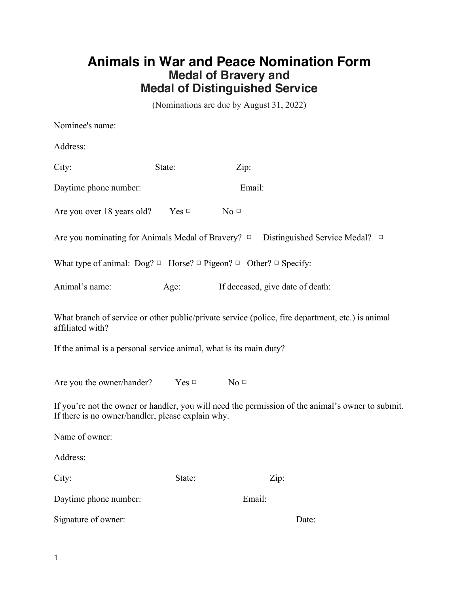## **Animals in War and Peace Nomination Form Medal of Bravery and Medal of Distinguished Service**

(Nominations are due by August 31, 2022)

| Nominee's name:                                                                                                                                        |        |                                  |      |       |  |
|--------------------------------------------------------------------------------------------------------------------------------------------------------|--------|----------------------------------|------|-------|--|
| Address:                                                                                                                                               |        |                                  |      |       |  |
| City:                                                                                                                                                  | State: | Zip:                             |      |       |  |
| Daytime phone number:                                                                                                                                  |        | Email:                           |      |       |  |
| Are you over 18 years old? Yes $\Box$ No $\Box$                                                                                                        |        |                                  |      |       |  |
| Are you nominating for Animals Medal of Bravery? $\Box$ Distinguished Service Medal? $\Box$                                                            |        |                                  |      |       |  |
| What type of animal: $\text{Dog?} \Box$ Horse? $\Box$ Pigeon? $\Box$ Other? $\Box$ Specify:                                                            |        |                                  |      |       |  |
| Animal's name:                                                                                                                                         | Age:   | If deceased, give date of death: |      |       |  |
| What branch of service or other public/private service (police, fire department, etc.) is animal<br>affiliated with?                                   |        |                                  |      |       |  |
| If the animal is a personal service animal, what is its main duty?                                                                                     |        |                                  |      |       |  |
| Are you the owner/hander? $Yes \Box$ No $\Box$                                                                                                         |        |                                  |      |       |  |
| If you're not the owner or handler, you will need the permission of the animal's owner to submit.<br>If there is no owner/handler, please explain why. |        |                                  |      |       |  |
| Name of owner:                                                                                                                                         |        |                                  |      |       |  |
| Address:                                                                                                                                               |        |                                  |      |       |  |
| City:                                                                                                                                                  | State: |                                  | Zip: |       |  |
| Daytime phone number:                                                                                                                                  |        | Email:                           |      |       |  |
| Signature of owner:                                                                                                                                    |        |                                  |      | Date: |  |